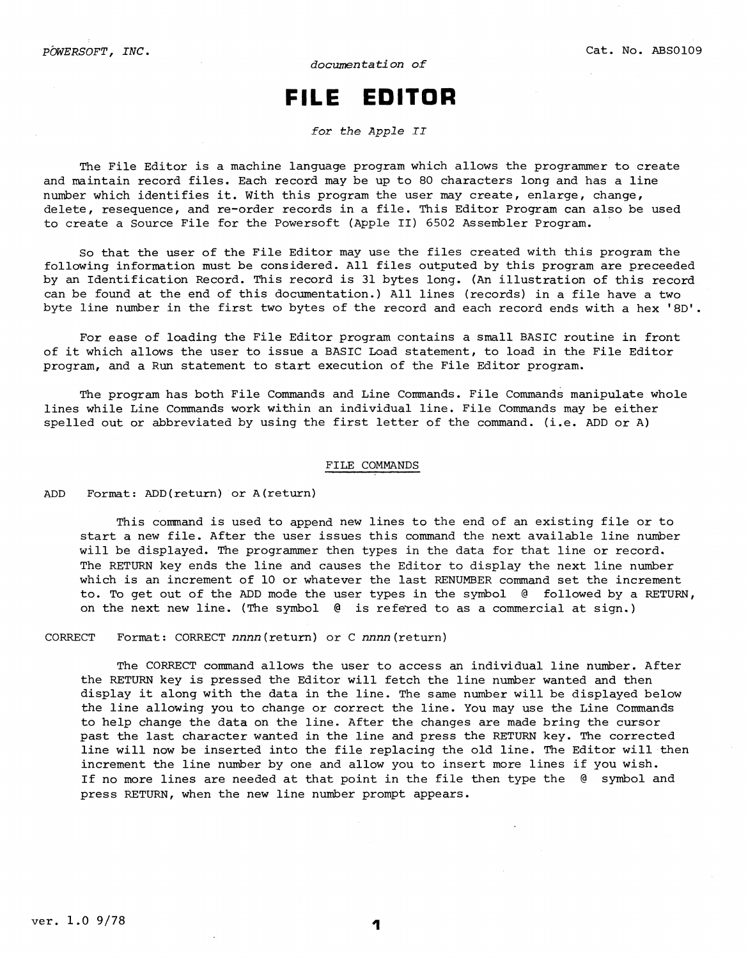# **FILE EDITOR**

*for the Apple II* 

The File Editor is a machine language program which allows the programmer to create and maintain record files. Each record may be up to 80 characters long and has a line number which identifies it. With this program the user may create, enlarge, change, delete, resequence, and re-order records in a file. This Editor Program can also be used to create a Source File for the Powersoft (Apple II) 6502 Assembler Program.

So that the user of the File Editor may use the files created with this program the following information must be considered. All files outputed by this program are preceeded by an Identification Record. This record is 31 bytes long. (An illustration of this record can be found at the end of this documentation.) All lines (records) in a file have a two byte line number in the first two bytes of the record and each record ends with a hex 'BD'.

For ease of loading the File Editor program contains a small BASIC routine in front of it which allows the user to issue a BASIC Load statement, to load in the File Editor program, and a Run statement to start execution of the File Editor program.

The program has both File Commands and Line Commands. File Commands manipulate whole lines while Line Commands work within an individual line. File Commands may be either spelled out or abbreviated by using the first letter of the command. (i.e. ADD or A)

# FILE COMMANDS

ADD Format: ADD(return) or A(return)

This command is used to append new lines to the end of an existing file or to start a new file. After the user issues this command the next available line number will be displayed. The programmer then types in the data for that line or record. The RETURN key ends the line and causes the Editor to display the next line number which is an increment of 10 or whatever the last RENUMBER command set the increment to. To get out of the ADD mode the user types in the symbol @ followed by a RETURN, on the next new line. (The symbol  $\theta$  is refered to as a commercial at sign.)

CORRECT Format: CORRECT *nnnn(return)* or C nnnn(return)

The CORRECT command allows the user to access an individual line number, After the RETURN key is pressed the Editor will fetch the line number wanted and then display it along with the data in the line. The same number will be displayed below the line allowing you to change or correct the line. You may use the Line Commands to help change the data on the line. After the changes are made bring the cursor past the last character wanted in the line and press the RETURN key. The corrected line will now be inserted into the file replacing the old line. The Editor will then increment the line number by one and allow you to insert more lines if you wish. If no more lines are needed at that point in the file then type the @ symbol and press RETURN, when the new line number prompt appears.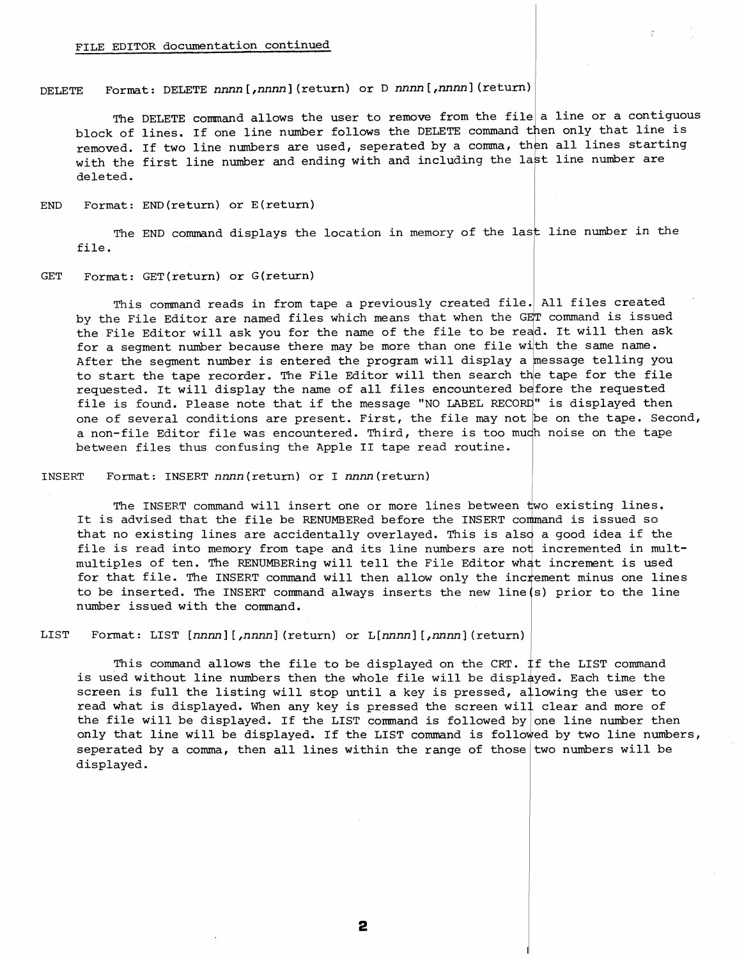# FILE EDITOR documentation continued

DELETE Format: DELETE *nnnn[,nnnn]* (return) or D *nnnn[,nnnn]* (return)

The DELETE command allows the user to remove from the file a line or a contiguous block of lines. If one line number follows the DELETE command then only that line is removed. If two line numbers are used, seperated by a comma, then all lines starting with the first line number and ending with and including the last line number are deleted.

END Format: END(return) or E(return)

The END command displays the location in memory of the last line number in the file.

### GET Format: GET(return) or G(return)

This command reads in from tape a previously created file. All files created by the File Editor are named files which means that when the GET command is issued the File Editor will ask you for the name of the file to be read. It will then ask for a segment number because there may be more than one file with the same name. After the segment number is entered the program will display a message telling you to start the tape recorder. The File Editor will then search the tape for the file requested. It will display the name of all files encountered before the requested file is found. Please note that if the message "NO LABEL RECORD" is displayed then one of several conditions are present. First, the file may not be on the tape. Second, a non-file Editor file was encountered. Third, there is too much noise on the tape between files thus confusing the Apple II tape read routine.

INSERT Format: INSERT nnnn(return) or I nnnn(return)

The INSERT command will insert one or more lines between  $\operatorname{\mathsf{two}}$  existing lines, It is advised that the file be RENUMBERed before the INSERT command is issued so that no existing lines are accidentally overlayed. This is also a good idea if the File is read into memory from tape and its line numbers are not incremented in multmultiples of ten. The RENUMBERing will tell the File Editor what increment is used for that file. The INSERT command will then allow only the increment minus one lines to be inserted. The INSERT command always inserts the new line (s) prior to the line number issued with the command.

LIST Format: LIST *[nnnn] [,nnnn]* (return) or L[nnnn] [,nnnn) (return)

This command allows the file to be displayed on the CRT.  $\frac{1}{1}\mathbf{f}$  the LIST command is used without line numbers then the whole file will be displayed. Each time the screen is full the listing will stop until a key is pressed, allowing the user to read what is displayed. When any key is pressed the screen will clear and more of the file will be displayed. If the LIST command is followed by one line number then only that line will be displayed. If the LIST command is followed by two line numbers, seperated by a comma, then all lines within the range of those two numbers will be displayed.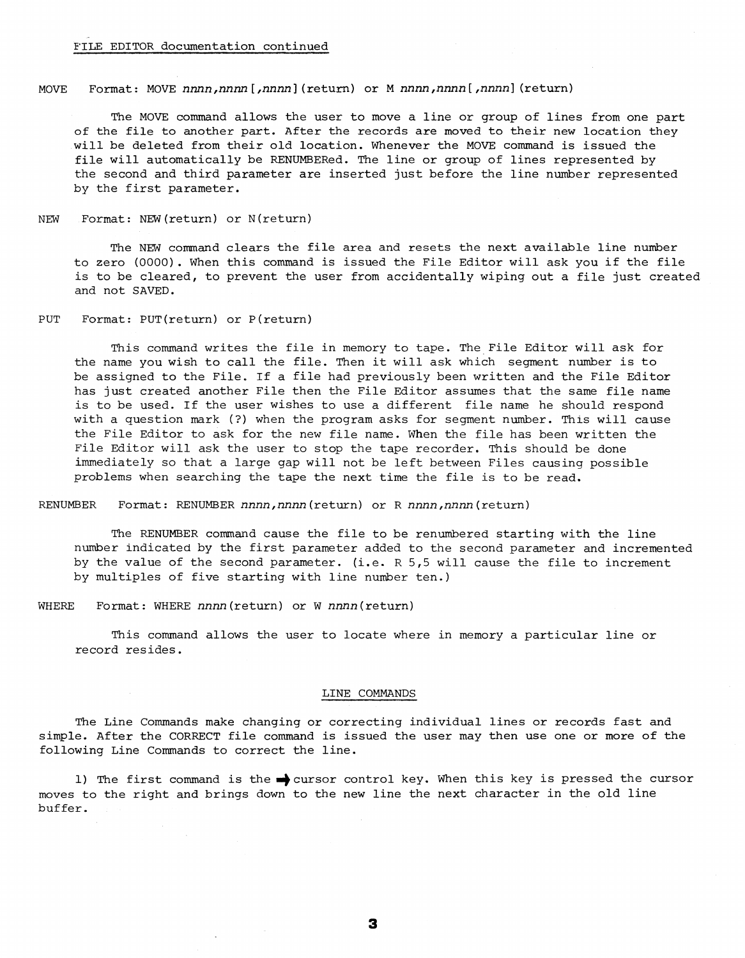#### MOVE Format: MOVE *nnnn,nnnn[,nnnn](return)* or M *nnnn,nnnn[,nnnn]* (return)

The MOVE command allows the user to move a line or group of lines from one part of the file to another part. After the records are moved to their new location they will be deleted from their old location. Whenever the MOVE command is issued the file will automatically be RENUMBERed. The line or group of lines represented by the second and third parameter are inserted just before the line number represented by the first parameter.

NEW Format: NEW(return) or N(return)

The NEW command clears the file area and resets the next available line number to zero (0000) . When this command is issued the File Editor will ask you if the file is to be cleared, to prevent the user from accidentally wiping out a file just created and not SAVED.

PUT Format: PUT(return) or P(return)

This command writes the file in memory to tape. The File Editor will ask for the name you wish to call the file. Then it will ask which segment number is to be assigned to the File. If a file had previously been written and the File Editor has just created another File then the File Editor assumes that the same file name is to be used. If the user wishes to use a different file name he should respond with a question mark (?) when the program asks for segment number. This will cause the File Editor to ask for the new file name. When the file has been written the File Editor will ask the user to stop the tape recorder. This should be done immediately so that a large gap will not be left between Files causing possible problems when searching the tape the next time the file is to be read.

RENUMBER Format: RENUMBER *nnnn,nnnn(return)* or R *nnnn,nnnn(return)* 

The RENUMBER command cause the file to be renumbered starting with the line number indicated by the first parameter added to the second parameter and incremented by the value of the second parameter. (i.e. R 5,5 will cause the file to increment by multiples of five starting with line number ten.)

WHERE Format: WHERE nnnn(return) or W *nnnn(return)* 

This command allows the user to locate where in memory a particular line or record resides.

# LINE COMMANDS

The Line Commands make changing or correcting individual lines or records fast and simple. After the CORRECT file command is issued the user may then use one or more of the following Line Commands to correct the line.

1) The first command is the  $\rightarrow$  cursor control key. When this key is pressed the cursor moves to the right and brings down to the new line the next character in the old line buffer.

3